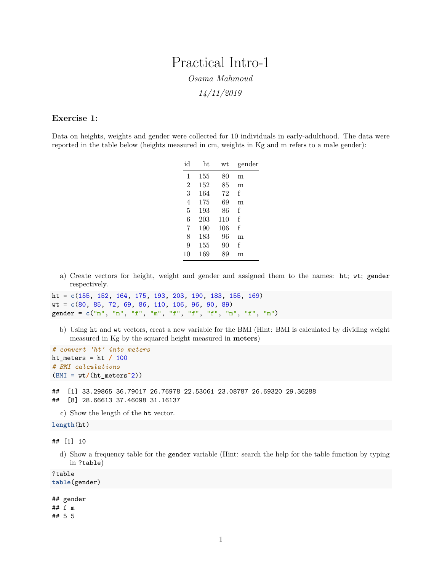# Practical Intro-1 *Osama Mahmoud*

*14/11/2019*

# **Exercise 1:**

Data on heights, weights and gender were collected for 10 individuals in early-adulthood. The data were reported in the table below (heights measured in cm, weights in Kg and m refers to a male gender):

| id             | ht  | wt  | gender |
|----------------|-----|-----|--------|
| 1              | 155 | 80  | m      |
| $\overline{2}$ | 152 | 85  | m      |
| 3              | 164 | 72  | f      |
| $\overline{4}$ | 175 | 69  | m      |
| 5              | 193 | 86  | f      |
| 6              | 203 | 110 | f      |
| 7              | 190 | 106 | f      |
| 8              | 183 | 96  | m      |
| 9              | 155 | 90  | f      |
| 10             | 169 | 89  | m      |
|                |     |     |        |

a) Create vectors for height, weight and gender and assigned them to the names: ht; wt; gender respectively.

```
ht = c(155, 152, 164, 175, 193, 203, 190, 183, 155, 169)
wt = c(80, 85, 72, 69, 86, 110, 106, 96, 90, 89)
gender = c("m", "m", "f", "m", "f", "f", "f", "m", "f", "m")
```
b) Using ht and wt vectors, creat a new variable for the BMI (Hint: BMI is calculated by dividing weight measured in Kg by the squared height measured in **meters**)

```
# convert 'ht' into meters
ht_meters = ht / 100
# BMI calculations
(BMI = wt/(ht_meters^2))
## [1] 33.29865 36.79017 26.76978 22.53061 23.08787 26.69320 29.36288
## [8] 28.66613 37.46098 31.16137
```
c) Show the length of the ht vector.

# **length**(ht)

## [1] 10

d) Show a frequency table for the gender variable (Hint: search the help for the table function by typing in ?table)

?table

```
table(gender)
```

```
## gender
## f m
## 5 5
```